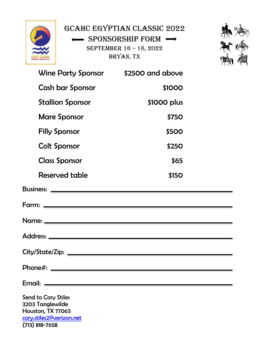

(713) 818-7658

GCAHC Egyptian Classic 2022 SPONSORSHIP FORM -September 16 – 18, 2022 Bryan, TX



|                                                                                          |              | $\left\{ \begin{array}{c} 1 \\ 2 \end{array} \right\}$ |
|------------------------------------------------------------------------------------------|--------------|--------------------------------------------------------|
| Wine Party Sponsor \$2500 and above                                                      |              |                                                        |
| <b>Cash bar Sponsor</b>                                                                  | \$1000       |                                                        |
| <b>Stallion Sponsor</b>                                                                  | \$1000 plus  |                                                        |
| <b>Mare Sponsor</b>                                                                      | <b>\$750</b> |                                                        |
| <b>Filly Sponsor</b>                                                                     | <b>\$500</b> |                                                        |
| <b>Colt Sponsor</b>                                                                      | <b>\$250</b> |                                                        |
| <b>Class Sponsor</b>                                                                     | \$65         |                                                        |
| <b>Reserved table</b>                                                                    | <b>\$150</b> |                                                        |
|                                                                                          |              |                                                        |
|                                                                                          |              |                                                        |
|                                                                                          |              |                                                        |
|                                                                                          |              |                                                        |
|                                                                                          |              |                                                        |
|                                                                                          |              |                                                        |
|                                                                                          |              |                                                        |
| Send to Cory Stiles<br>3203 Tanglewilde<br>Houston, TX 77063<br>cory.stiles2@verizon.net |              |                                                        |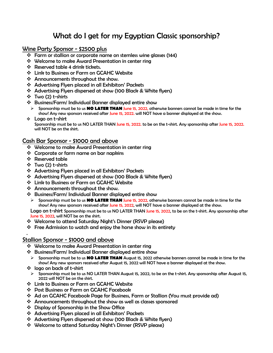# What do I get for my Egyptian Classic sponsorship?

# Wine Party Sponsor - \$2500 plus

- ❖ Farm or stallion or corporate name on stemless wine glasses (144)
- ❖ Welcome to make Award Presentation in center ring
- $\cdot$  Reserved table 4 drink tickets.
- ❖ Link to Business or Farm on GCAHC Website
- ❖ Announcements throughout the show.
- ❖ Advertising Flyers placed in all Exhibitors' Packets
- ❖ Advertising Flyers dispersed at show (100 Black & White flyers)
- ❖ Two (2) t-shirts
- ❖ Business/Farm/ Individual Banner displayed entire show
- ➢ Sponsorship must be to us **NO LATER THAN** June 15, 2022, otherwise banners cannot be made in time for the show! Any new sponsors received after June 15, 2022. will NOT have a banner displayed at the show.
- ❖ Logo on t-shirt Sponsorship must be to us NO LATER THAN June 15, 2022. to be on the t-shirt. Any sponsorship after June 15, 2022. will NOT be on the shirt.

## Cash Bar Sponsor - \$1000 and above

- ❖ Welcome to make Award Presentation in center ring
- ❖ Corporate or farm name on bar napkins
- ❖ Reserved table
- ❖ Two (2) t-shirts

.

- ❖ Advertising Flyers placed in all Exhibitors' Packets
- ❖ Advertising Flyers dispersed at show (100 Black & White flyers)
- ❖ Link to Business or Farm on GCAHC Website
- ❖ Announcements throughout the show.
- ❖ Business/Farm/ Individual Banner displayed entire show
	- ➢ Sponsorship must be to us **NO LATER THAN** June 15, 2022, otherwise banners cannot be made in time for the show! Any new sponsors received after June 15, 2022, will NOT have a banner displayed at the show.

Logo on t-shirt Sponsorship must be to us NO LATER THAN June 15, 2022, to be on the t-shirt. Any sponsorship after June 15, 2022, will NOT be on the shirt.

- ❖ Welcome to attend Saturday Night's Dinner (RSVP please)
- ❖ Free Admission to watch and enjoy the horse show in its entirety

# Stallion Sponsor - \$1000 and above

- ❖ Welcome to make Award Presentation in center ring
- ❖ Business/Farm/ Individual Banner displayed entire show
- ➢ Sponsorship must be to us **NO LATER THAN** August 15, 2022 otherwise banners cannot be made in time for the show! Any new sponsors received after August 15, 2022 will NOT have a banner displayed at the show.
- ❖ logo on back of t-shirt
- ➢ Sponsorship must be to us NO LATER THAN August 15, 2022, to be on the t-shirt. Any sponsorship after August 15, 2022 will NOT be on the shirt.
- ❖ Link to Business or Farm on GCAHC Website
- ❖ Post Business or Farm on GCAHC Facebook
- ❖ Ad on GCAHC Facebook Page for Business, Farm or Stallion (You must provide ad)
- ❖ Announcements throughout the show as well as classes sponsored
- ❖ Display of Sponsorship in the Show Office
- ❖ Advertising Flyers placed in all Exhibitors' Packets
- ❖ Advertising Flyers dispersed at show (100 Black & White flyers)
- ❖ Welcome to attend Saturday Night's Dinner (RSVP please)